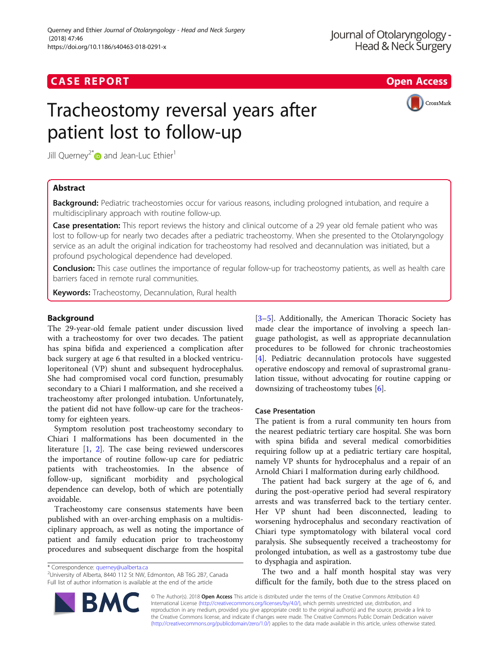## **CASE REPORT CASE REPORT CASE REPORT**

# Tracheostomy reversal years after patient lost to follow-up



Jill Querney<sup>2[\\*](http://orcid.org/0000-0002-0366-3200)</sup> and Jean-Luc Ethier<sup>1</sup>

## Abstract

Background: Pediatric tracheostomies occur for various reasons, including prologned intubation, and require a multidisciplinary approach with routine follow-up.

Case presentation: This report reviews the history and clinical outcome of a 29 year old female patient who was lost to follow-up for nearly two decades after a pediatric tracheostomy. When she presented to the Otolaryngology service as an adult the original indication for tracheostomy had resolved and decannulation was initiated, but a profound psychological dependence had developed.

**Conclusion:** This case outlines the importance of regular follow-up for tracheostomy patients, as well as health care barriers faced in remote rural communities.

Keywords: Tracheostomy, Decannulation, Rural health

## Background

The 29-year-old female patient under discussion lived with a tracheostomy for over two decades. The patient has spina bifida and experienced a complication after back surgery at age 6 that resulted in a blocked ventriculoperitoneal (VP) shunt and subsequent hydrocephalus. She had compromised vocal cord function, presumably secondary to a Chiari I malformation, and she received a tracheostomy after prolonged intubation. Unfortunately, the patient did not have follow-up care for the tracheostomy for eighteen years.

Symptom resolution post tracheostomy secondary to Chiari I malformations has been documented in the literature [\[1](#page-2-0), [2](#page-2-0)]. The case being reviewed underscores the importance of routine follow-up care for pediatric patients with tracheostomies. In the absence of follow-up, significant morbidity and psychological dependence can develop, both of which are potentially avoidable.

Tracheostomy care consensus statements have been published with an over-arching emphasis on a multidisciplinary approach, as well as noting the importance of patient and family education prior to tracheostomy procedures and subsequent discharge from the hospital

\* Correspondence: [querney@ualberta.ca](mailto:querney@ualberta.ca) <sup>2</sup>

University of Alberta, 8440 112 St NW, Edmonton, AB T6G 2B7, Canada Full list of author information is available at the end of the article

[[3](#page-2-0)–[5\]](#page-2-0). Additionally, the American Thoracic Society has made clear the importance of involving a speech language pathologist, as well as appropriate decannulation procedures to be followed for chronic tracheostomies [[4\]](#page-2-0). Pediatric decannulation protocols have suggested operative endoscopy and removal of suprastromal granulation tissue, without advocating for routine capping or downsizing of tracheostomy tubes [\[6](#page-2-0)].

## Case Presentation

The patient is from a rural community ten hours from the nearest pediatric tertiary care hospital. She was born with spina bifida and several medical comorbidities requiring follow up at a pediatric tertiary care hospital, namely VP shunts for hydrocephalus and a repair of an Arnold Chiari I malformation during early childhood.

The patient had back surgery at the age of 6, and during the post-operative period had several respiratory arrests and was transferred back to the tertiary center. Her VP shunt had been disconnected, leading to worsening hydrocephalus and secondary reactivation of Chiari type symptomatology with bilateral vocal cord paralysis. She subsequently received a tracheostomy for prolonged intubation, as well as a gastrostomy tube due to dysphagia and aspiration.

The two and a half month hospital stay was very difficult for the family, both due to the stress placed on

© The Author(s). 2018 Open Access This article is distributed under the terms of the Creative Commons Attribution 4.0 International License [\(http://creativecommons.org/licenses/by/4.0/](http://creativecommons.org/licenses/by/4.0/)), which permits unrestricted use, distribution, and reproduction in any medium, provided you give appropriate credit to the original author(s) and the source, provide a link to the Creative Commons license, and indicate if changes were made. The Creative Commons Public Domain Dedication waiver [\(http://creativecommons.org/publicdomain/zero/1.0/](http://creativecommons.org/publicdomain/zero/1.0/)) applies to the data made available in this article, unless otherwise stated.

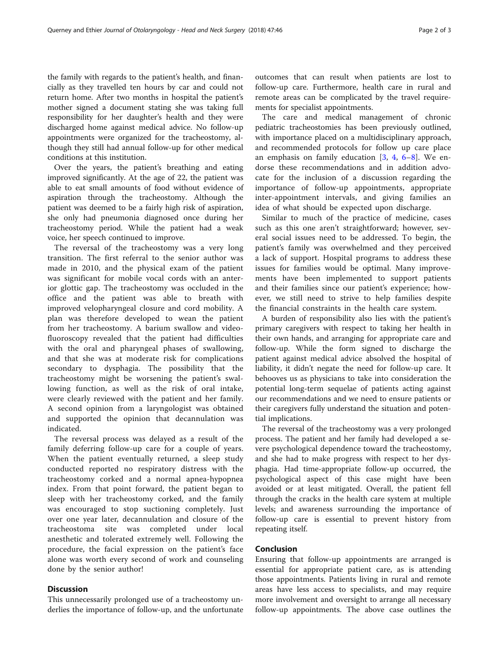the family with regards to the patient's health, and financially as they travelled ten hours by car and could not return home. After two months in hospital the patient's mother signed a document stating she was taking full responsibility for her daughter's health and they were discharged home against medical advice. No follow-up appointments were organized for the tracheostomy, although they still had annual follow-up for other medical conditions at this institution.

Over the years, the patient's breathing and eating improved significantly. At the age of 22, the patient was able to eat small amounts of food without evidence of aspiration through the tracheostomy. Although the patient was deemed to be a fairly high risk of aspiration, she only had pneumonia diagnosed once during her tracheostomy period. While the patient had a weak voice, her speech continued to improve.

The reversal of the tracheostomy was a very long transition. The first referral to the senior author was made in 2010, and the physical exam of the patient was significant for mobile vocal cords with an anterior glottic gap. The tracheostomy was occluded in the office and the patient was able to breath with improved velopharyngeal closure and cord mobility. A plan was therefore developed to wean the patient from her tracheostomy. A barium swallow and videofluoroscopy revealed that the patient had difficulties with the oral and pharyngeal phases of swallowing, and that she was at moderate risk for complications secondary to dysphagia. The possibility that the tracheostomy might be worsening the patient's swallowing function, as well as the risk of oral intake, were clearly reviewed with the patient and her family. A second opinion from a laryngologist was obtained and supported the opinion that decannulation was indicated.

The reversal process was delayed as a result of the family deferring follow-up care for a couple of years. When the patient eventually returned, a sleep study conducted reported no respiratory distress with the tracheostomy corked and a normal apnea-hypopnea index. From that point forward, the patient began to sleep with her tracheostomy corked, and the family was encouraged to stop suctioning completely. Just over one year later, decannulation and closure of the tracheostoma site was completed under local anesthetic and tolerated extremely well. Following the procedure, the facial expression on the patient's face alone was worth every second of work and counseling done by the senior author!

## **Discussion**

This unnecessarily prolonged use of a tracheostomy underlies the importance of follow-up, and the unfortunate

outcomes that can result when patients are lost to follow-up care. Furthermore, health care in rural and remote areas can be complicated by the travel requirements for specialist appointments.

The care and medical management of chronic pediatric tracheostomies has been previously outlined, with importance placed on a multidisciplinary approach, and recommended protocols for follow up care place an emphasis on family education  $[3, 4, 6-8]$  $[3, 4, 6-8]$  $[3, 4, 6-8]$  $[3, 4, 6-8]$  $[3, 4, 6-8]$  $[3, 4, 6-8]$  $[3, 4, 6-8]$ . We endorse these recommendations and in addition advocate for the inclusion of a discussion regarding the importance of follow-up appointments, appropriate inter-appointment intervals, and giving families an idea of what should be expected upon discharge.

Similar to much of the practice of medicine, cases such as this one aren't straightforward; however, several social issues need to be addressed. To begin, the patient's family was overwhelmed and they perceived a lack of support. Hospital programs to address these issues for families would be optimal. Many improvements have been implemented to support patients and their families since our patient's experience; however, we still need to strive to help families despite the financial constraints in the health care system.

A burden of responsibility also lies with the patient's primary caregivers with respect to taking her health in their own hands, and arranging for appropriate care and follow-up. While the form signed to discharge the patient against medical advice absolved the hospital of liability, it didn't negate the need for follow-up care. It behooves us as physicians to take into consideration the potential long-term sequelae of patients acting against our recommendations and we need to ensure patients or their caregivers fully understand the situation and potential implications.

The reversal of the tracheostomy was a very prolonged process. The patient and her family had developed a severe psychological dependence toward the tracheostomy, and she had to make progress with respect to her dysphagia. Had time-appropriate follow-up occurred, the psychological aspect of this case might have been avoided or at least mitigated. Overall, the patient fell through the cracks in the health care system at multiple levels; and awareness surrounding the importance of follow-up care is essential to prevent history from repeating itself.

## Conclusion

Ensuring that follow-up appointments are arranged is essential for appropriate patient care, as is attending those appointments. Patients living in rural and remote areas have less access to specialists, and may require more involvement and oversight to arrange all necessary follow-up appointments. The above case outlines the